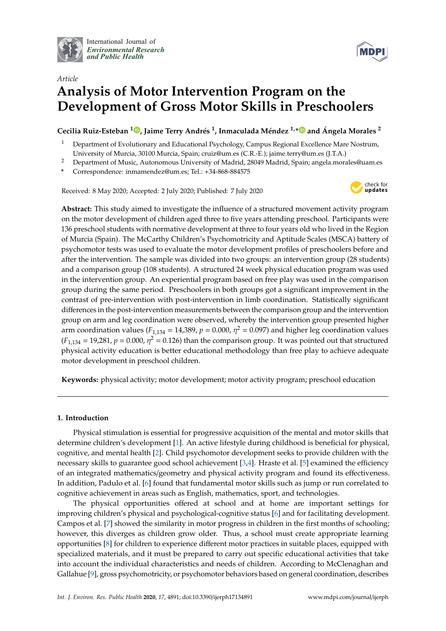

International Journal of *[Environmental Research](http://www.mdpi.com/journal/ijerph) and Public Health*



# *Article* **Analysis of Motor Intervention Program on the Development of Gross Motor Skills in Preschoolers**

**Cecilia Ruiz-Esteban <sup>1</sup> [,](https://orcid.org/0000-0002-5836-331X) Jaime Terry Andrés 1 , Inmaculada Méndez 1,[\\*](https://orcid.org/0000-0001-8458-5314) and Ángela Morales <sup>2</sup>**

- <sup>1</sup> Department of Evolutionary and Educational Psychology, Campus Regional Excellence Mare Nostrum, University of Murcia, 30100 Murcia, Spain; cruiz@um.es (C.R.-E.); jaime.terry@um.es (J.T.A.)
- <sup>2</sup> Department of Music, Autonomous University of Madrid, 28049 Madrid, Spain; angela.morales@uam.es
- **\*** Correspondence: inmamendez@um.es; Tel.: +34-868-884575

Received: 8 May 2020; Accepted: 2 July 2020; Published: 7 July 2020



**Abstract:** This study aimed to investigate the influence of a structured movement activity program on the motor development of children aged three to five years attending preschool. Participants were 136 preschool students with normative development at three to four years old who lived in the Region of Murcia (Spain). The McCarthy Children's Psychomotricity and Aptitude Scales (MSCA) battery of psychomotor tests was used to evaluate the motor development profiles of preschoolers before and after the intervention. The sample was divided into two groups: an intervention group (28 students) and a comparison group (108 students). A structured 24 week physical education program was used in the intervention group. An experiential program based on free play was used in the comparison group during the same period. Preschoolers in both groups got a significant improvement in the contrast of pre-intervention with post-intervention in limb coordination. Statistically significant differences in the post-intervention measurements between the comparison group and the intervention group on arm and leg coordination were observed, whereby the intervention group presented higher arm coordination values ( $F_{1,134}$  = 14,389,  $p$  = 0.000,  $\eta^2$  = 0.097) and higher leg coordination values  $(F_{1,134} = 19,281, p = 0.000, \eta^2 = 0.126)$  than the comparison group. It was pointed out that structured physical activity education is better educational methodology than free play to achieve adequate motor development in preschool children.

**Keywords:** physical activity; motor development; motor activity program; preschool education

## **1. Introduction**

Physical stimulation is essential for progressive acquisition of the mental and motor skills that determine children's development [\[1\]](#page-9-0). An active lifestyle during childhood is beneficial for physical, cognitive, and mental health [\[2\]](#page-9-1). Child psychomotor development seeks to provide children with the necessary skills to guarantee good school achievement [\[3,](#page-9-2)[4\]](#page-9-3). Hraste et al. [\[5\]](#page-9-4) examined the efficiency of an integrated mathematics/geometry and physical activity program and found its effectiveness. In addition, Padulo et al. [\[6\]](#page-9-5) found that fundamental motor skills such as jump or run correlated to cognitive achievement in areas such as English, mathematics, sport, and technologies.

The physical opportunities offered at school and at home are important settings for improving children's physical and psychological-cognitive status [\[6\]](#page-9-5) and for facilitating development. Campos et al. [\[7\]](#page-9-6) showed the similarity in motor progress in children in the first months of schooling; however, this diverges as children grow older. Thus, a school must create appropriate learning opportunities [\[8\]](#page-9-7) for children to experience different motor practices in suitable places, equipped with specialized materials, and it must be prepared to carry out specific educational activities that take into account the individual characteristics and needs of children. According to McClenaghan and Gallahue [\[9\]](#page-9-8), gross psychomotricity, or psychomotor behaviors based on general coordination, describes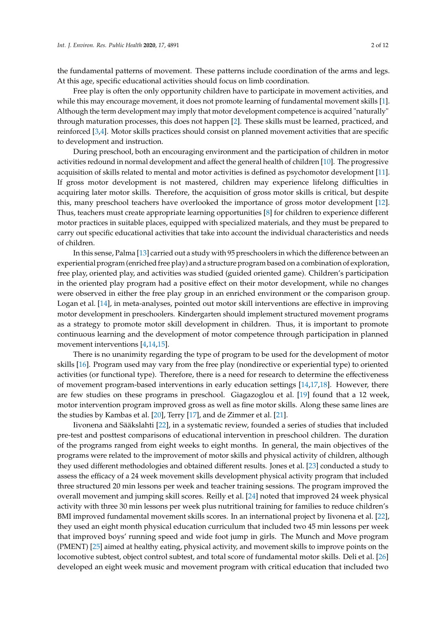the fundamental patterns of movement. These patterns include coordination of the arms and legs. At this age, specific educational activities should focus on limb coordination.

Free play is often the only opportunity children have to participate in movement activities, and while this may encourage movement, it does not promote learning of fundamental movement skills [\[1\]](#page-9-0). Although the term development may imply that motor development competence is acquired "naturally" through maturation processes, this does not happen [\[2\]](#page-9-1). These skills must be learned, practiced, and reinforced [\[3,](#page-9-2)[4\]](#page-9-3). Motor skills practices should consist on planned movement activities that are specific to development and instruction.

During preschool, both an encouraging environment and the participation of children in motor activities redound in normal development and affect the general health of children [\[10\]](#page-9-9). The progressive acquisition of skills related to mental and motor activities is defined as psychomotor development [\[11\]](#page-9-10). If gross motor development is not mastered, children may experience lifelong difficulties in acquiring later motor skills. Therefore, the acquisition of gross motor skills is critical, but despite this, many preschool teachers have overlooked the importance of gross motor development [\[12\]](#page-9-11). Thus, teachers must create appropriate learning opportunities [\[8\]](#page-9-7) for children to experience different motor practices in suitable places, equipped with specialized materials, and they must be prepared to carry out specific educational activities that take into account the individual characteristics and needs of children.

In this sense, Palma [\[13\]](#page-9-12) carried out a study with 95 preschoolers in which the difference between an experiential program (enriched free play) and a structure program based on a combination of exploration, free play, oriented play, and activities was studied (guided oriented game). Children's participation in the oriented play program had a positive effect on their motor development, while no changes were observed in either the free play group in an enriched environment or the comparison group. Logan et al. [\[14\]](#page-9-13), in meta-analyses, pointed out motor skill interventions are effective in improving motor development in preschoolers. Kindergarten should implement structured movement programs as a strategy to promote motor skill development in children. Thus, it is important to promote continuous learning and the development of motor competence through participation in planned movement interventions [\[4,](#page-9-3)[14](#page-9-13)[,15\]](#page-9-14).

There is no unanimity regarding the type of program to be used for the development of motor skills [\[16\]](#page-9-15). Program used may vary from the free play (nondirective or experiential type) to oriented activities (or functional type). Therefore, there is a need for research to determine the effectiveness of movement program-based interventions in early education settings [\[14,](#page-9-13)[17](#page-10-0)[,18\]](#page-10-1). However, there are few studies on these programs in preschool. Giagazoglou et al. [\[19\]](#page-10-2) found that a 12 week, motor intervention program improved gross as well as fine motor skills. Along these same lines are the studies by Kambas et al. [\[20\]](#page-10-3), Terry [\[17\]](#page-10-0), and de Zimmer et al. [\[21\]](#page-10-4).

Iivonena and Sääkslahti [\[22\]](#page-10-5), in a systematic review, founded a series of studies that included pre-test and posttest comparisons of educational intervention in preschool children. The duration of the programs ranged from eight weeks to eight months. In general, the main objectives of the programs were related to the improvement of motor skills and physical activity of children, although they used different methodologies and obtained different results. Jones et al. [\[23\]](#page-10-6) conducted a study to assess the efficacy of a 24 week movement skills development physical activity program that included three structured 20 min lessons per week and teacher training sessions. The program improved the overall movement and jumping skill scores. Reilly et al. [\[24\]](#page-10-7) noted that improved 24 week physical activity with three 30 min lessons per week plus nutritional training for families to reduce children's BMI improved fundamental movement skills scores. In an international project by Iivonena et al. [\[22\]](#page-10-5), they used an eight month physical education curriculum that included two 45 min lessons per week that improved boys' running speed and wide foot jump in girls. The Munch and Move program (PMENT) [\[25\]](#page-10-8) aimed at healthy eating, physical activity, and movement skills to improve points on the locomotive subtest, object control subtest, and total score of fundamental motor skills. Deli et al. [\[26\]](#page-10-9) developed an eight week music and movement program with critical education that included two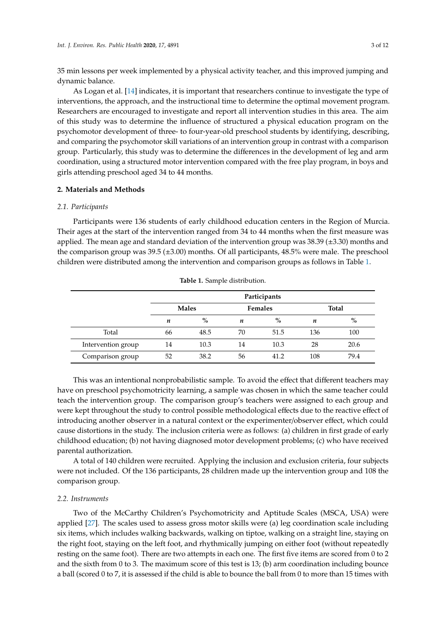35 min lessons per week implemented by a physical activity teacher, and this improved jumping and dynamic balance.

As Logan et al. [\[14\]](#page-9-13) indicates, it is important that researchers continue to investigate the type of interventions, the approach, and the instructional time to determine the optimal movement program. Researchers are encouraged to investigate and report all intervention studies in this area. The aim of this study was to determine the influence of structured a physical education program on the psychomotor development of three- to four-year-old preschool students by identifying, describing, and comparing the psychomotor skill variations of an intervention group in contrast with a comparison group. Particularly, this study was to determine the differences in the development of leg and arm coordination, using a structured motor intervention compared with the free play program, in boys and girls attending preschool aged 34 to 44 months.

### **2. Materials and Methods**

#### *2.1. Participants*

Participants were 136 students of early childhood education centers in the Region of Murcia. Their ages at the start of the intervention ranged from 34 to 44 months when the first measure was applied. The mean age and standard deviation of the intervention group was 38.39 (±3.30) months and the comparison group was 39.5 (±3.00) months. Of all participants, 48.5% were male. The preschool children were distributed among the intervention and comparison groups as follows in Table [1.](#page-2-0)

<span id="page-2-0"></span>

|                    | Participants |      |                |      |              |      |  |
|--------------------|--------------|------|----------------|------|--------------|------|--|
|                    | <b>Males</b> |      | <b>Females</b> |      | <b>Total</b> |      |  |
|                    | n            | $\%$ | n              | $\%$ | n            | $\%$ |  |
| Total              | 66           | 48.5 | 70             | 51.5 | 136          | 100  |  |
| Intervention group | 14           | 10.3 | 14             | 10.3 | 28           | 20.6 |  |
| Comparison group   | 52           | 38.2 | 56             | 41.2 | 108          | 79.4 |  |

**Table 1.** Sample distribution.

This was an intentional nonprobabilistic sample. To avoid the effect that different teachers may have on preschool psychomotricity learning, a sample was chosen in which the same teacher could teach the intervention group. The comparison group's teachers were assigned to each group and were kept throughout the study to control possible methodological effects due to the reactive effect of introducing another observer in a natural context or the experimenter/observer effect, which could cause distortions in the study. The inclusion criteria were as follows: (a) children in first grade of early childhood education; (b) not having diagnosed motor development problems; (c) who have received parental authorization.

A total of 140 children were recruited. Applying the inclusion and exclusion criteria, four subjects were not included. Of the 136 participants, 28 children made up the intervention group and 108 the comparison group.

### *2.2. Instruments*

Two of the McCarthy Children's Psychomotricity and Aptitude Scales (MSCA, USA) were applied [\[27\]](#page-10-10). The scales used to assess gross motor skills were (a) leg coordination scale including six items, which includes walking backwards, walking on tiptoe, walking on a straight line, staying on the right foot, staying on the left foot, and rhythmically jumping on either foot (without repeatedly resting on the same foot). There are two attempts in each one. The first five items are scored from 0 to 2 and the sixth from 0 to 3. The maximum score of this test is 13; (b) arm coordination including bounce a ball (scored 0 to 7, it is assessed if the child is able to bounce the ball from 0 to more than 15 times with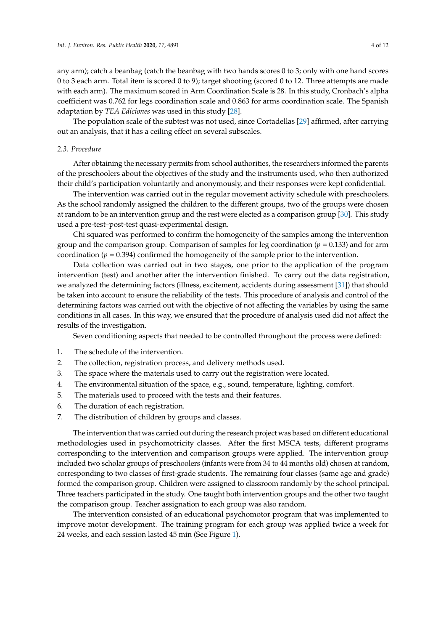any arm); catch a beanbag (catch the beanbag with two hands scores 0 to 3; only with one hand scores 0 to 3 each arm. Total item is scored 0 to 9); target shooting (scored 0 to 12. Three attempts are made with each arm). The maximum scored in Arm Coordination Scale is 28. In this study, Cronbach's alpha coefficient was 0.762 for legs coordination scale and 0.863 for arms coordination scale. The Spanish adaptation by *TEA Ediciones* was used in this study [\[28\]](#page-10-11).

The population scale of the subtest was not used, since Cortadellas [\[29\]](#page-10-12) affirmed, after carrying out an analysis, that it has a ceiling effect on several subscales.

## *2.3. Procedure*

After obtaining the necessary permits from school authorities, the researchers informed the parents of the preschoolers about the objectives of the study and the instruments used, who then authorized their child's participation voluntarily and anonymously, and their responses were kept confidential.

The intervention was carried out in the regular movement activity schedule with preschoolers. As the school randomly assigned the children to the different groups, two of the groups were chosen at random to be an intervention group and the rest were elected as a comparison group [\[30\]](#page-10-13). This study used a pre-test–post-test quasi-experimental design.

Chi squared was performed to confirm the homogeneity of the samples among the intervention group and the comparison group. Comparison of samples for leg coordination (*p* = 0.133) and for arm coordination ( $p = 0.394$ ) confirmed the homogeneity of the sample prior to the intervention.

Data collection was carried out in two stages, one prior to the application of the program intervention (test) and another after the intervention finished. To carry out the data registration, we analyzed the determining factors (illness, excitement, accidents during assessment [\[31\]](#page-10-14)) that should be taken into account to ensure the reliability of the tests. This procedure of analysis and control of the determining factors was carried out with the objective of not affecting the variables by using the same conditions in all cases. In this way, we ensured that the procedure of analysis used did not affect the results of the investigation.

Seven conditioning aspects that needed to be controlled throughout the process were defined:

- 1. The schedule of the intervention.
- 2. The collection, registration process, and delivery methods used.
- 3. The space where the materials used to carry out the registration were located.
- 4. The environmental situation of the space, e.g., sound, temperature, lighting, comfort.
- 5. The materials used to proceed with the tests and their features.
- 6. The duration of each registration.
- 7. The distribution of children by groups and classes.

The intervention that was carried out during the research project was based on different educational methodologies used in psychomotricity classes. After the first MSCA tests, different programs corresponding to the intervention and comparison groups were applied. The intervention group included two scholar groups of preschoolers (infants were from 34 to 44 months old) chosen at random, corresponding to two classes of first-grade students. The remaining four classes (same age and grade) formed the comparison group. Children were assigned to classroom randomly by the school principal. Three teachers participated in the study. One taught both intervention groups and the other two taught the comparison group. Teacher assignation to each group was also random.

The intervention consisted of an educational psychomotor program that was implemented to improve motor development. The training program for each group was applied twice a week for 24 weeks, and each session lasted 45 min (See Figure [1\)](#page-4-0).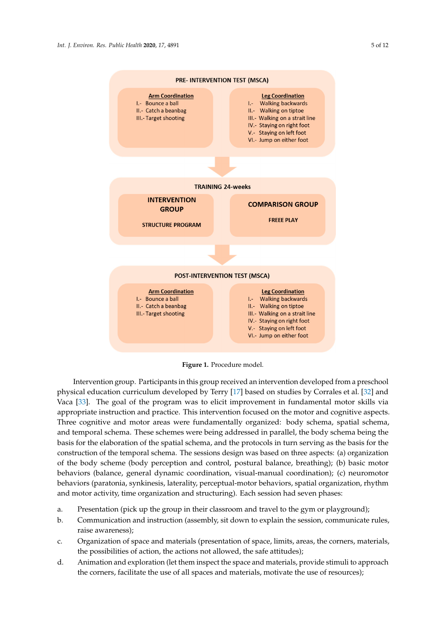<span id="page-4-0"></span>

**Figure 1**. Procedure model. **Figure 1.** Procedure model.

Intervention group. Participants in this group received an intervention developed from a Intervention group. Participants in this group received an intervention developed from a preschool physical education curriculum developed by Terry [\[17\]](#page-10-0) based on studies by Corrales et al. [\[32\]](#page-10-15) and<br>We shall say that we have also been also been as the provincial motor set al. [17] and Vaca [\[33\]](#page-10-16). The goal of the program was to elicit improvement in fundamental motor skills via appropriate instruction and practice. This intervention focused on the motor and cognitive aspects.<br>
The motor and cognitive aspects. Three cognitive and motor areas were fundamentally organized: body schema, spatial schema, and temporal schema. These schemes were being addressed in parallel, the body schema being the basis in turn services of the basis of the basis of the basis of the basis of the basis of the basis of the basis of the basis basis for the elaboration of the spatial schema, and the protocols in turn serving as the basis for the basis for the construction of the temporal schema. The sessions design was based on three aspects: (a) organization  $\epsilon$ of the body scheme (body perception and control, postural balance, breathing); (b) basic motor behaviors (balance, general dynamic coordination, visual-manual coordination); (c) neuromotor<br>behaviors (balance, general dynamic coordination, visual-manual coordination); (c) neuromotor organization, rhythm and motor activity, time organization and structuring). Each session had seven behaviors (paratonia, synkinesis, laterality, perceptual-motor behaviors, spatial organization, rhythm and motor activity, time organization and structuring). Each session had seven phases:

- a. Presentation (pick up the group in their classroom and travel to the gym or playground); a. Presentation (pick up the group in their classroom and travel to the gym or playground);
- b. Communication and instruction (assembly, sit down to explain the session, b. Communication and instruction (assembly, sit down to explain the session, communicate rules, raise awareness);
- c. Organization of space and materials (presentation of space, limits, areas, the corners, materials, the possibilities of action, the actions not allowed, the safe attitudes);
- d. Animation and exploration (let them inspect the space and materials, provide stimuli to approach the corners, facilitate the use of all spaces and materials, motivate the use of resources);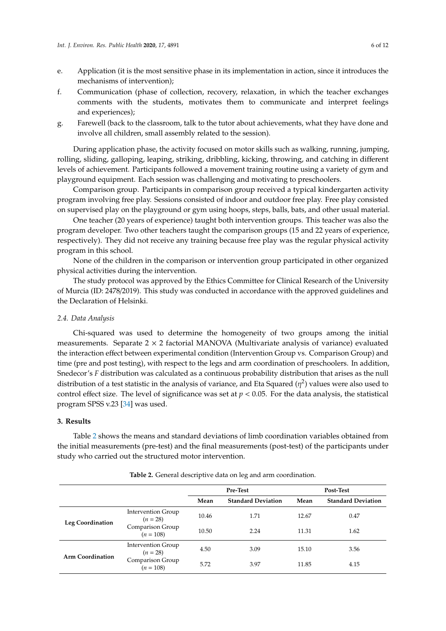- e. Application (it is the most sensitive phase in its implementation in action, since it introduces the mechanisms of intervention);
- f. Communication (phase of collection, recovery, relaxation, in which the teacher exchanges comments with the students, motivates them to communicate and interpret feelings and experiences);
- g. Farewell (back to the classroom, talk to the tutor about achievements, what they have done and involve all children, small assembly related to the session).

During application phase, the activity focused on motor skills such as walking, running, jumping, rolling, sliding, galloping, leaping, striking, dribbling, kicking, throwing, and catching in different levels of achievement. Participants followed a movement training routine using a variety of gym and playground equipment. Each session was challenging and motivating to preschoolers.

Comparison group. Participants in comparison group received a typical kindergarten activity program involving free play. Sessions consisted of indoor and outdoor free play. Free play consisted on supervised play on the playground or gym using hoops, steps, balls, bats, and other usual material.

One teacher (20 years of experience) taught both intervention groups. This teacher was also the program developer. Two other teachers taught the comparison groups (15 and 22 years of experience, respectively). They did not receive any training because free play was the regular physical activity program in this school.

None of the children in the comparison or intervention group participated in other organized physical activities during the intervention.

The study protocol was approved by the Ethics Committee for Clinical Research of the University of Murcia (ID: 2478/2019). This study was conducted in accordance with the approved guidelines and the Declaration of Helsinki.

## *2.4. Data Analysis*

Chi-squared was used to determine the homogeneity of two groups among the initial measurements. Separate  $2 \times 2$  factorial MANOVA (Multivariate analysis of variance) evaluated the interaction effect between experimental condition (Intervention Group vs. Comparison Group) and time (pre and post testing), with respect to the legs and arm coordination of preschoolers. In addition, Snedecor's *F* distribution was calculated as a continuous probability distribution that arises as the null distribution of a test statistic in the analysis of variance, and Eta Squared  $(\eta^2)$  values were also used to control effect size. The level of significance was set at  $p < 0.05$ . For the data analysis, the statistical program SPSS v.23 [\[34\]](#page-10-17) was used.

# **3. Results**

Table [2](#page-5-0) shows the means and standard deviations of limb coordination variables obtained from the initial measurements (pre-test) and the final measurements (post-test) of the participants under study who carried out the structured motor intervention.

<span id="page-5-0"></span>

|                         |                                         | Pre-Test |                           | <b>Post-Test</b> |                           |  |
|-------------------------|-----------------------------------------|----------|---------------------------|------------------|---------------------------|--|
|                         |                                         | Mean     | <b>Standard Deviation</b> | Mean             | <b>Standard Deviation</b> |  |
| <b>Leg Coordination</b> | <b>Intervention Group</b><br>$(n = 28)$ | 10.46    | 1.71                      | 12.67            | 0.47                      |  |
|                         | Comparison Group<br>$(n = 108)$         | 10.50    | 2.24                      | 11.31            | 1.62                      |  |
| <b>Arm Coordination</b> | <b>Intervention Group</b><br>$(n = 28)$ | 4.50     | 3.09                      | 15.10            | 3.56                      |  |
|                         | Comparison Group<br>$(n = 108)$         | 5.72     | 3.97                      | 11.85            | 4.15                      |  |

**Table 2.** General descriptive data on leg and arm coordination.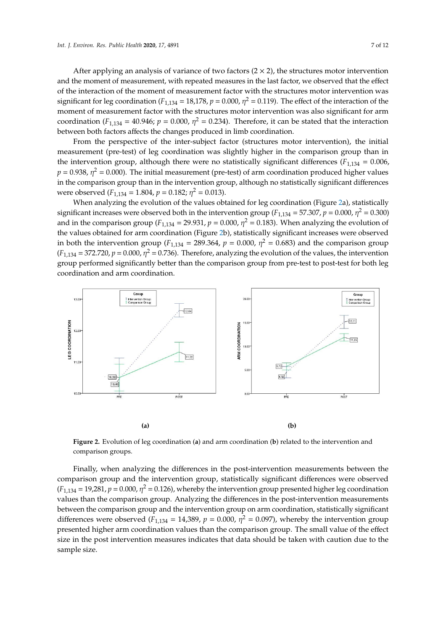After applying an analysis of variance of two factors  $(2 \times 2)$ , the structures motor intervention and the moment of measurement, with repeated measures in the last factor, we observed that the effect of the interaction of the moment of measurement factor with the structures motor intervention was significant for leg coordination ( $F_{1,134} = 18,178$ ,  $p = 0.000$ ,  $\eta^2 = 0.119$ ). The effect of the interaction of the moment of measurement factor with the structures motor intervention was also significant for arm coordination ( $F_{1,134} = 40.946$ ;  $p = 0.000$ ,  $\eta^2 = 0.234$ ). Therefore, it can be stated that the interaction between both factors affects the changes produced in limb coordination.

From the perspective of the inter-subject factor (structures motor intervention), the initial measurement (pre-test) of leg coordination was slightly higher in the comparison group than in the intervention group, although there were no statistically significant differences ( $F_{1,134} = 0.006$ ,  $p = 0.938$ ,  $\eta^2 = 0.000$ ). The initial measurement (pre-test) of arm coordination produced higher values in the comparison group than in the intervention group, although no statistically significant differences were observed  $(F_{1,134} = 1.804, p = 0.182; \eta^2 = 0.013)$ .

When analyzing the evolution of the values obtained for leg coordination (Figure [2a](#page-6-0)), statistically significant increases were observed both in the intervention group ( $F_{1,134}$  = 57.307,  $p$  = 0.000,  $\eta^2$  = 0.300) and in the comparison group ( $F_{1,134}$  = 29.931,  $p = 0.000$ ,  $\eta^2 = 0.183$ ). When analyzing the evolution of the values obtained for arm coordination (Figure [2b](#page-6-0)), statistically significant increases were observed in both the intervention group ( $F_{1,134}$  = 289.364,  $p = 0.000$ ,  $\eta^2 = 0.683$ ) and the comparison group  $(F_{1,134} = 372.720, p = 0.000, \eta^2 = 0.736)$ . Therefore, analyzing the evolution of the values, the intervention group performed significantly better than the comparison group from pre-test to post-test for both leg *Internation and arm coordination. Internation. <i>Public Health <b>2020*, *17*, *17*, *17*, *17*, *17*, *17*, *17*, *17*, *17*, *17*, *17*, *17*, *17*, *17*, *17*, *17*, *17*, *17*, *17*, *17*, *17*, *17*, *17*, *17*,

<span id="page-6-0"></span>

Figure 2. Evolution of leg coordination (a) and arm coordination (b) related to the intervention and comparison groups. comparison groups.

Finally, when analyzing the differences in the post-intervention measurements between the  $(F_{1,134} = 19,281, p = 0.000, \eta^2 = 0.126)$ , whereby the intervention group presented higher leg coordination values than the comparison group. Analyzing the differences in the post-intervention measurements between the comparison group and the intervention group on arm coordination, statistically significant differences were observed  $(F_{1,134} = 14,389, p = 0.000, \eta^2 = 0.097)$ , whereby the intervention group presented higher arm coordination values than the comparison group. The small value of the effect size in the post intervention measures indicates that data should be taken with caution due to the  $T_{\text{max}}$  false belief that children are spontaneously active  $\frac{1}{2}$ directed in the practice of motor activities may have slower development in their abilities [35,36]. comparison group and the intervention group, statistically significant differences were observed sample size.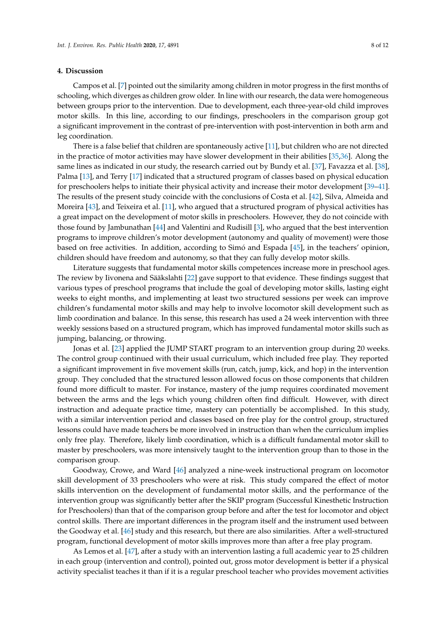### **4. Discussion**

Campos et al. [\[7\]](#page-9-6) pointed out the similarity among children in motor progress in the first months of schooling, which diverges as children grow older. In line with our research, the data were homogeneous between groups prior to the intervention. Due to development, each three-year-old child improves motor skills. In this line, according to our findings, preschoolers in the comparison group got a significant improvement in the contrast of pre-intervention with post-intervention in both arm and leg coordination.

There is a false belief that children are spontaneously active [\[11\]](#page-9-10), but children who are not directed in the practice of motor activities may have slower development in their abilities [\[35](#page-10-18)[,36\]](#page-10-19). Along the same lines as indicated in our study, the research carried out by Bundy et al. [\[37\]](#page-10-20), Favazza et al. [\[38\]](#page-10-21), Palma [\[13\]](#page-9-12), and Terry [\[17\]](#page-10-0) indicated that a structured program of classes based on physical education for preschoolers helps to initiate their physical activity and increase their motor development [\[39–](#page-10-22)[41\]](#page-11-0). The results of the present study coincide with the conclusions of Costa et al. [\[42\]](#page-11-1), Silva, Almeida and Moreira [\[43\]](#page-11-2), and Teixeira et al. [\[11\]](#page-9-10), who argued that a structured program of physical activities has a great impact on the development of motor skills in preschoolers. However, they do not coincide with those found by Jambunathan [\[44\]](#page-11-3) and Valentini and Rudisill [\[3\]](#page-9-2), who argued that the best intervention programs to improve children's motor development (autonomy and quality of movement) were those based on free activities. In addition, according to Simó and Espada [\[45\]](#page-11-4), in the teachers' opinion, children should have freedom and autonomy, so that they can fully develop motor skills.

Literature suggests that fundamental motor skills competences increase more in preschool ages. The review by Iivonena and Sääkslahti [\[22\]](#page-10-5) gave support to that evidence. These findings suggest that various types of preschool programs that include the goal of developing motor skills, lasting eight weeks to eight months, and implementing at least two structured sessions per week can improve children's fundamental motor skills and may help to involve locomotor skill development such as limb coordination and balance. In this sense, this research has used a 24 week intervention with three weekly sessions based on a structured program, which has improved fundamental motor skills such as jumping, balancing, or throwing.

Jonas et al. [\[23\]](#page-10-6) applied the JUMP START program to an intervention group during 20 weeks. The control group continued with their usual curriculum, which included free play. They reported a significant improvement in five movement skills (run, catch, jump, kick, and hop) in the intervention group. They concluded that the structured lesson allowed focus on those components that children found more difficult to master. For instance, mastery of the jump requires coordinated movement between the arms and the legs which young children often find difficult. However, with direct instruction and adequate practice time, mastery can potentially be accomplished. In this study, with a similar intervention period and classes based on free play for the control group, structured lessons could have made teachers be more involved in instruction than when the curriculum implies only free play. Therefore, likely limb coordination, which is a difficult fundamental motor skill to master by preschoolers, was more intensively taught to the intervention group than to those in the comparison group.

Goodway, Crowe, and Ward [\[46\]](#page-11-5) analyzed a nine-week instructional program on locomotor skill development of 33 preschoolers who were at risk. This study compared the effect of motor skills intervention on the development of fundamental motor skills, and the performance of the intervention group was significantly better after the SKIP program (Successful Kinesthetic Instruction for Preschoolers) than that of the comparison group before and after the test for locomotor and object control skills. There are important differences in the program itself and the instrument used between the Goodway et al. [\[46\]](#page-11-5) study and this research, but there are also similarities. After a well-structured program, functional development of motor skills improves more than after a free play program.

As Lemos et al. [\[47\]](#page-11-6), after a study with an intervention lasting a full academic year to 25 children in each group (intervention and control), pointed out, gross motor development is better if a physical activity specialist teaches it than if it is a regular preschool teacher who provides movement activities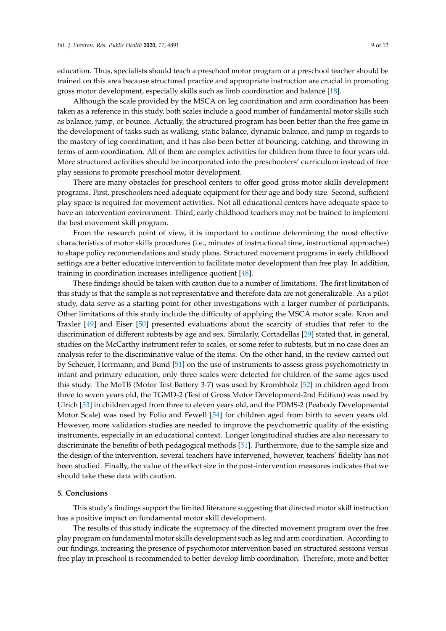education. Thus, specialists should teach a preschool motor program or a preschool teacher should be trained on this area because structured practice and appropriate instruction are crucial in promoting gross motor development, especially skills such as limb coordination and balance [\[18\]](#page-10-1).

Although the scale provided by the MSCA on leg coordination and arm coordination has been taken as a reference in this study, both scales include a good number of fundamental motor skills such as balance, jump, or bounce. Actually, the structured program has been better than the free game in the development of tasks such as walking, static balance, dynamic balance, and jump in regards to the mastery of leg coordination; and it has also been better at bouncing, catching, and throwing in terms of arm coordination. All of them are complex activities for children from three to four years old. More structured activities should be incorporated into the preschoolers' curriculum instead of free play sessions to promote preschool motor development.

There are many obstacles for preschool centers to offer good gross motor skills development programs. First, preschoolers need adequate equipment for their age and body size. Second, sufficient play space is required for movement activities. Not all educational centers have adequate space to have an intervention environment. Third, early childhood teachers may not be trained to implement the best movement skill program.

From the research point of view, it is important to continue determining the most effective characteristics of motor skills procedures (i.e., minutes of instructional time, instructional approaches) to shape policy recommendations and study plans. Structured movement programs in early childhood settings are a better educative intervention to facilitate motor development than free play. In addition, training in coordination increases intelligence quotient [\[48\]](#page-11-7).

These findings should be taken with caution due to a number of limitations. The first limitation of this study is that the sample is not representative and therefore data are not generalizable. As a pilot study, data serve as a starting point for other investigations with a larger number of participants. Other limitations of this study include the difficulty of applying the MSCA motor scale. Kron and Traxler [\[49\]](#page-11-8) and Eiser [\[50\]](#page-11-9) presented evaluations about the scarcity of studies that refer to the discrimination of different subtests by age and sex. Similarly, Cortadellas [\[29\]](#page-10-12) stated that, in general, studies on the McCarthy instrument refer to scales, or some refer to subtests, but in no case does an analysis refer to the discriminative value of the items. On the other hand, in the review carried out by Scheuer, Herrmann, and Bund [\[51\]](#page-11-10) on the use of instruments to assess gross psychomotricity in infant and primary education, only three scales were detected for children of the same ages used this study. The MoTB (Motor Test Battery 3-7) was used by Krombholz [\[52\]](#page-11-11) in children aged from three to seven years old, the TGMD-2 (Test of Gross Motor Development-2nd Edition) was used by Ulrich [\[53\]](#page-11-12) in children aged from three to eleven years old, and the PDMS-2 (Peabody Developmental Motor Scale) was used by Folio and Fewell [\[54\]](#page-11-13) for children aged from birth to seven years old. However, more validation studies are needed to improve the psychometric quality of the existing instruments, especially in an educational context. Longer longitudinal studies are also necessary to discriminate the benefits of both pedagogical methods [\[51\]](#page-11-10). Furthermore, due to the sample size and the design of the intervention, several teachers have intervened, however, teachers' fidelity has not been studied. Finally, the value of the effect size in the post-intervention measures indicates that we should take these data with caution.

#### **5. Conclusions**

This study's findings support the limited literature suggesting that directed motor skill instruction has a positive impact on fundamental motor skill development.

The results of this study indicate the supremacy of the directed movement program over the free play program on fundamental motor skills development such as leg and arm coordination. According to our findings, increasing the presence of psychomotor intervention based on structured sessions versus free play in preschool is recommended to better develop limb coordination. Therefore, more and better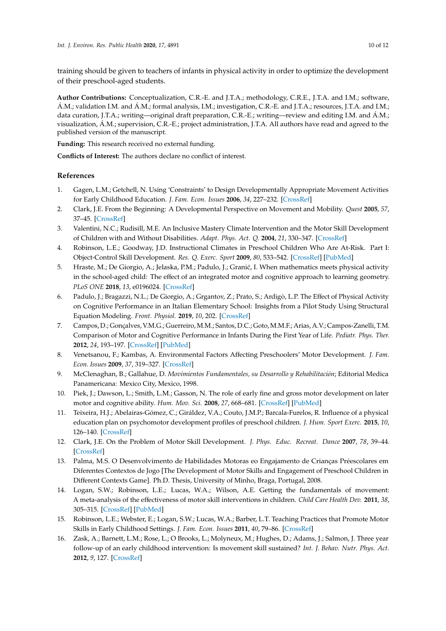training should be given to teachers of infants in physical activity in order to optimize the development of their preschool-aged students.

**Author Contributions:** Conceptualization, C.R.-E. and J.T.A.; methodology, C.R.E., J.T.A. and I.M.; software, Á.M.; validation I.M. and Á.M.; formal analysis, I.M.; investigation, C.R.-E. and J.T.A.; resources, J.T.A. and I.M.; data curation, J.T.A.; writing—original draft preparation, C.R.-E.; writing—review and editing I.M. and Á.M.; visualization, Á.M.; supervision, C.R.-E.; project administration, J.T.A. All authors have read and agreed to the published version of the manuscript.

**Funding:** This research received no external funding.

**Conflicts of Interest:** The authors declare no conflict of interest.

## **References**

- <span id="page-9-0"></span>1. Gagen, L.M.; Getchell, N. Using 'Constraints' to Design Developmentally Appropriate Movement Activities for Early Childhood Education. *J. Fam. Econ. Issues* **2006**, *34*, 227–232. [\[CrossRef\]](http://dx.doi.org/10.1007/s10643-006-0135-6)
- <span id="page-9-1"></span>2. Clark, J.E. From the Beginning: A Developmental Perspective on Movement and Mobility. *Quest* **2005**, *57*, 37–45. [\[CrossRef\]](http://dx.doi.org/10.1080/00336297.2005.10491841)
- <span id="page-9-2"></span>3. Valentini, N.C.; Rudisill, M.E. An Inclusive Mastery Climate Intervention and the Motor Skill Development of Children with and Without Disabilities. *Adapt. Phys. Act. Q.* **2004**, *21*, 330–347. [\[CrossRef\]](http://dx.doi.org/10.1123/apaq.21.4.330)
- <span id="page-9-3"></span>4. Robinson, L.E.; Goodway, J.D. Instructional Climates in Preschool Children Who Are At-Risk. Part I: Object-Control Skill Development. *Res. Q. Exerc. Sport* **2009**, *80*, 533–542. [\[CrossRef\]](http://dx.doi.org/10.1080/02701367.2009.10599591) [\[PubMed\]](http://www.ncbi.nlm.nih.gov/pubmed/19791639)
- <span id="page-9-4"></span>5. Hraste, M.; De Giorgio, A.; Jelaska, P.M.; Padulo, J.; Granić, I. When mathematics meets physical activity in the school-aged child: The effect of an integrated motor and cognitive approach to learning geometry. *PLoS ONE* **2018**, *13*, e0196024. [\[CrossRef\]](http://dx.doi.org/10.1371/journal.pone.0196024)
- <span id="page-9-5"></span>6. Padulo, J.; Bragazzi, N.L.; De Giorgio, A.; Grgantov, Z.; Prato, S.; Ardigò, L.P. The Effect of Physical Activity on Cognitive Performance in an Italian Elementary School: Insights from a Pilot Study Using Structural Equation Modeling. *Front. Physiol.* **2019**, *10*, 202. [\[CrossRef\]](http://dx.doi.org/10.3389/fphys.2019.00202)
- <span id="page-9-6"></span>7. Campos, D.; Gonçalves, V.M.G.; Guerreiro, M.M.; Santos, D.C.; Goto, M.M.F.; Arias, A.V.; Campos-Zanelli, T.M. Comparison of Motor and Cognitive Performance in Infants During the First Year of Life. *Pediatr. Phys. Ther.* **2012**, *24*, 193–197. [\[CrossRef\]](http://dx.doi.org/10.1097/PEP.0b013e31824d2db7) [\[PubMed\]](http://www.ncbi.nlm.nih.gov/pubmed/22466392)
- <span id="page-9-7"></span>8. Venetsanou, F.; Kambas, A. Environmental Factors Affecting Preschoolers' Motor Development. *J. Fam. Econ. Issues* **2009**, *37*, 319–327. [\[CrossRef\]](http://dx.doi.org/10.1007/s10643-009-0350-z)
- <span id="page-9-8"></span>9. McClenaghan, B.; Gallahue, D. *Movimientos Fundamentales, su Desarrollo y Rehabilitación*; Editorial Medica Panamericana: Mexico City, Mexico, 1998.
- <span id="page-9-9"></span>10. Piek, J.; Dawson, L.; Smith, L.M.; Gasson, N. The role of early fine and gross motor development on later motor and cognitive ability. *Hum. Mov. Sci.* **2008**, *27*, 668–681. [\[CrossRef\]](http://dx.doi.org/10.1016/j.humov.2007.11.002) [\[PubMed\]](http://www.ncbi.nlm.nih.gov/pubmed/18242747)
- <span id="page-9-10"></span>11. Teixeira, H.J.; Abelairas-Gómez, C.; Giráldez, V.A.; Couto, J.M.P.; Barcala-Furelos, R. Influence of a physical education plan on psychomotor development profiles of preschool children. *J. Hum. Sport Exerc.* **2015**, *10*, 126–140. [\[CrossRef\]](http://dx.doi.org/10.14198/jhse.2015.101.11)
- <span id="page-9-11"></span>12. Clark, J.E. On the Problem of Motor Skill Development. *J. Phys. Educ. Recreat. Dance* **2007**, *78*, 39–44. [\[CrossRef\]](http://dx.doi.org/10.1080/07303084.2007.10598023)
- <span id="page-9-12"></span>13. Palma, M.S. O Desenvolvimento de Habilidades Motoras eo Engajamento de Crianças Préescolares em Diferentes Contextos de Jogo [The Development of Motor Skills and Engagement of Preschool Children in Different Contexts Game]. Ph.D. Thesis, University of Minho, Braga, Portugal, 2008.
- <span id="page-9-13"></span>14. Logan, S.W.; Robinson, L.E.; Lucas, W.A.; Wilson, A.E. Getting the fundamentals of movement: A meta-analysis of the effectiveness of motor skill interventions in children. *Child Care Health Dev.* **2011**, *38*, 305–315. [\[CrossRef\]](http://dx.doi.org/10.1111/j.1365-2214.2011.01307.x) [\[PubMed\]](http://www.ncbi.nlm.nih.gov/pubmed/21880055)
- <span id="page-9-14"></span>15. Robinson, L.E.; Webster, E.; Logan, S.W.; Lucas, W.A.; Barber, L.T. Teaching Practices that Promote Motor Skills in Early Childhood Settings. *J. Fam. Econ. Issues* **2011**, *40*, 79–86. [\[CrossRef\]](http://dx.doi.org/10.1007/s10643-011-0496-3)
- <span id="page-9-15"></span>16. Zask, A.; Barnett, L.M.; Rose, L.; O Brooks, L.; Molyneux, M.; Hughes, D.; Adams, J.; Salmon, J. Three year follow-up of an early childhood intervention: Is movement skill sustained? *Int. J. Behav. Nutr. Phys. Act.* **2012**, *9*, 127. [\[CrossRef\]](http://dx.doi.org/10.1186/1479-5868-9-127)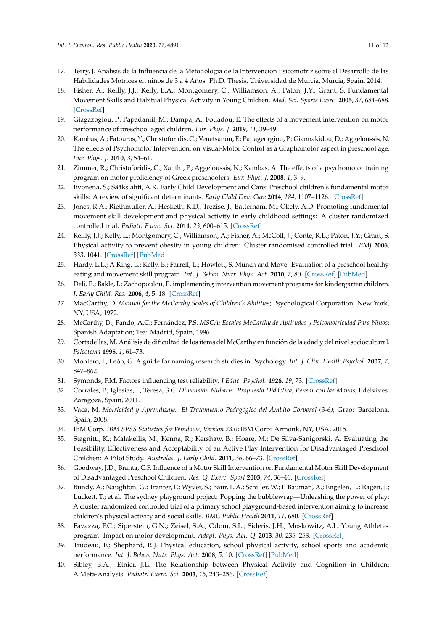- <span id="page-10-0"></span>17. Terry, J. Análisis de la Influencia de la Metodología de la Intervención Psicomotriz sobre el Desarrollo de las Habilidades Motrices en niños de 3 a 4 Años. Ph.D. Thesis, Universidad de Murcia, Murcia, Spain, 2014.
- <span id="page-10-1"></span>18. Fisher, A.; Reilly, J.J.; Kelly, L.A.; Montgomery, C.; Williamson, A.; Paton, J.Y.; Grant, S. Fundamental Movement Skills and Habitual Physical Activity in Young Children. *Med. Sci. Sports Exerc.* **2005**, *37*, 684–688. [\[CrossRef\]](http://dx.doi.org/10.1249/01.MSS.0000159138.48107.7D)
- <span id="page-10-2"></span>19. Giagazoglou, P.; Papadaniil, M.; Dampa, A.; Fotiadou, E. The effects of a movement intervention on motor performance of preschool aged children. *Eur. Phys. J.* **2019**, *11*, 39–49.
- <span id="page-10-3"></span>20. Kambas, A.; Fatouros, Y.; Christoforidis, C.; Venetsanou, F.; Papageorgiou, P.; Giannakidou, D.; Aggeloussis, N. The effects of Psychomotor Intervention, on Visual-Motor Control as a Graphomotor aspect in preschool age. *Eur. Phys. J.* **2010**, *3*, 54–61.
- <span id="page-10-4"></span>21. Zimmer, R.; Christoforidis, C.; Xanthi, P.; Aggeloussis, N.; Kambas, A. The effects of a psychomotor training program on motor proficiency of Greek preschoolers. *Eur. Phys. J.* **2008**, *1*, 3–9.
- <span id="page-10-5"></span>22. Iivonena, S.; Sääkslahti, A.K. Early Child Development and Care: Preschool children's fundamental motor skills: A review of significant determinants. *Early Child Dev. Care* **2014**, *184*, 1107–1126. [\[CrossRef\]](http://dx.doi.org/10.1080/03004430.2013.837897)
- <span id="page-10-6"></span>23. Jones, R.A.; Riethmuller, A.; Hesketh, K.D.; Trezise, J.; Batterham, M.; Okely, A.D. Promoting fundamental movement skill development and physical activity in early childhood settings: A cluster randomized controlled trial. *Pediatr. Exerc. Sci.* **2011**, *23*, 600–615. [\[CrossRef\]](http://dx.doi.org/10.1123/pes.23.4.600)
- <span id="page-10-7"></span>24. Reilly, J.J.; Kelly, L.; Montgomery, C.; Williamson, A.; Fisher, A.; McColl, J.; Conte, R.L.; Paton, J.Y.; Grant, S. Physical activity to prevent obesity in young children: Cluster randomised controlled trial. *BMJ* **2006**, *333*, 1041. [\[CrossRef\]](http://dx.doi.org/10.1136/bmj.38979.623773.55) [\[PubMed\]](http://www.ncbi.nlm.nih.gov/pubmed/17028105)
- <span id="page-10-8"></span>25. Hardy, L.L.; A King, L.; Kelly, B.; Farrell, L.; Howlett, S. Munch and Move: Evaluation of a preschool healthy eating and movement skill program. *Int. J. Behav. Nutr. Phys. Act.* **2010**, *7*, 80. [\[CrossRef\]](http://dx.doi.org/10.1186/1479-5868-7-80) [\[PubMed\]](http://www.ncbi.nlm.nih.gov/pubmed/21047434)
- <span id="page-10-9"></span>26. Deli, E.; Bakle, I.; Zachopoulou, E. implementing intervention movement programs for kindergarten children. *J. Early Child. Res.* **2006**, *4*, 5–18. [\[CrossRef\]](http://dx.doi.org/10.1177/1476718X06059785)
- <span id="page-10-10"></span>27. MacCarthy, D. *Manual for the McCarthy Scales of Children's Abilities*; Psychological Corporation: New York, NY, USA, 1972.
- <span id="page-10-11"></span>28. McCarthy, D.; Pando, A.C.; Fernández, P.S. *MSCA: Escalas McCarthy de Aptitudes y Psicomotricidad Para Niños*; Spanish Adaptation; Tea: Madrid, Spain, 1996.
- <span id="page-10-12"></span>29. Cortadellas, M. Análisis de dificultad de los ítems del McCarthy en función de la edad y del nivel sociocultural. *Psicotema* **1995**, *1*, 61–73.
- <span id="page-10-13"></span>30. Montero, I.; León, G. A guide for naming research studies in Psychology. *Int. J. Clin. Health Psychol.* **2007**, *7*, 847–862.
- <span id="page-10-14"></span>31. Symonds, P.M. Factors influencing test reliability. *J Educ. Psychol.* **1928**, *19*, 73. [\[CrossRef\]](http://dx.doi.org/10.1037/h0071867)
- <span id="page-10-15"></span>32. Corrales, P.; Iglesias, I.; Teresa, S.C. *Dimensión Nubaris. Propuesta Didáctica, Pensar con las Manos*; Edelvives: Zaragoza, Spain, 2011.
- <span id="page-10-16"></span>33. Vaca, M. *Motricidad y Aprendizaje. El Tratamiento Pedagógico del Ámbito Corporal (3-6)*; Graó: Barcelona, Spain, 2008.
- <span id="page-10-17"></span>34. IBM Corp. *IBM SPSS Statistics for Windows, Version 23.0*; IBM Corp: Armonk, NY, USA, 2015.
- <span id="page-10-18"></span>35. Stagnitti, K.; Malakellis, M.; Kenna, R.; Kershaw, B.; Hoare, M.; De Silva-Sanigorski, A. Evaluating the Feasibility, Effectiveness and Acceptability of an Active Play Intervention for Disadvantaged Preschool Children: A Pilot Study. *Australas. J. Early Child.* **2011**, *36*, 66–73. [\[CrossRef\]](http://dx.doi.org/10.1177/183693911103600309)
- <span id="page-10-19"></span>36. Goodway, J.D.; Branta, C.F. Influence of a Motor Skill Intervention on Fundamental Motor Skill Development of Disadvantaged Preschool Children. *Res. Q. Exerc. Sport* **2003**, *74*, 36–46. [\[CrossRef\]](http://dx.doi.org/10.1080/02701367.2003.10609062)
- <span id="page-10-20"></span>37. Bundy, A.; Naughton, G.; Tranter, P.; Wyver, S.; Baur, L.A.; Schiller, W.; E Bauman, A.; Engelen, L.; Ragen, J.; Luckett, T.; et al. The sydney playground project: Popping the bubblewrap—Unleashing the power of play: A cluster randomized controlled trial of a primary school playground-based intervention aiming to increase children's physical activity and social skills. *BMC Public Health* **2011**, *11*, 680. [\[CrossRef\]](http://dx.doi.org/10.1186/1471-2458-11-680)
- <span id="page-10-21"></span>38. Favazza, P.C.; Siperstein, G.N.; Zeisel, S.A.; Odom, S.L.; Sideris, J.H.; Moskowitz, A.L. Young Athletes program: Impact on motor development. *Adapt. Phys. Act. Q.* **2013**, *30*, 235–253. [\[CrossRef\]](http://dx.doi.org/10.1123/apaq.30.3.235)
- <span id="page-10-22"></span>39. Trudeau, F.; Shephard, R.J. Physical education, school physical activity, school sports and academic performance. *Int. J. Behav. Nutr. Phys. Act.* **2008**, *5*, 10. [\[CrossRef\]](http://dx.doi.org/10.1186/1479-5868-5-10) [\[PubMed\]](http://www.ncbi.nlm.nih.gov/pubmed/18298849)
- 40. Sibley, B.A.; Etnier, J.L. The Relationship between Physical Activity and Cognition in Children: A Meta-Analysis. *Pediatr. Exerc. Sci.* **2003**, *15*, 243–256. [\[CrossRef\]](http://dx.doi.org/10.1123/pes.15.3.243)